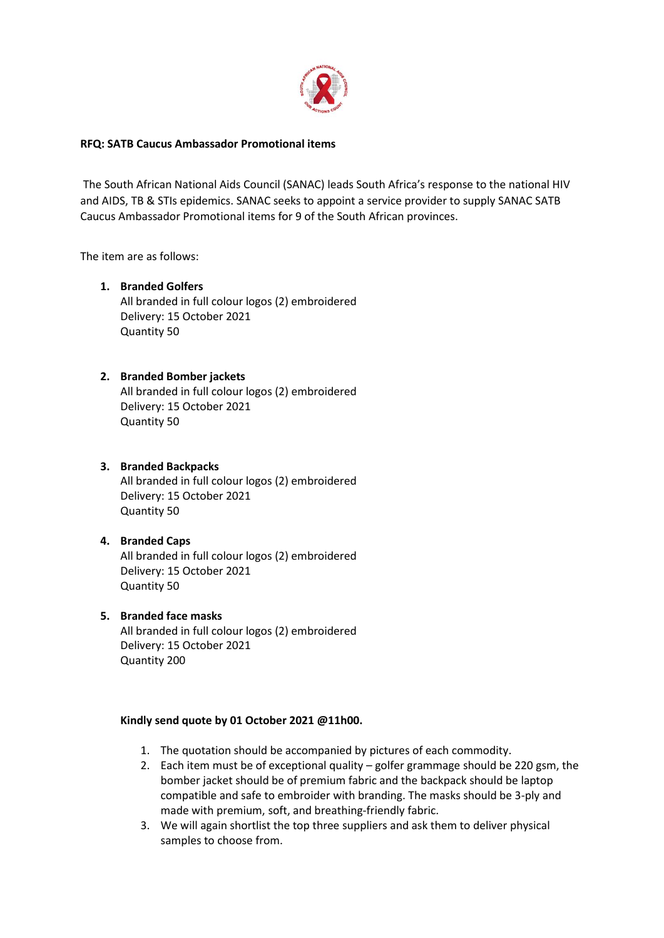

#### **RFQ: SATB Caucus Ambassador Promotional items**

The South African National Aids Council (SANAC) leads South Africa's response to the national HIV and AIDS, TB & STIs epidemics. SANAC seeks to appoint a service provider to supply SANAC SATB Caucus Ambassador Promotional items for 9 of the South African provinces.

The item are as follows:

### **1. Branded Golfers**

All branded in full colour logos (2) embroidered Delivery: 15 October 2021 Quantity 50

## **2. Branded Bomber jackets**

All branded in full colour logos (2) embroidered Delivery: 15 October 2021 Quantity 50

# **3. Branded Backpacks**

All branded in full colour logos (2) embroidered Delivery: 15 October 2021 Quantity 50

# **4. Branded Caps** All branded in full colour logos (2) embroidered Delivery: 15 October 2021 Quantity 50

## **5. Branded face masks**

All branded in full colour logos (2) embroidered Delivery: 15 October 2021 Quantity 200

#### **Kindly send quote by 01 October 2021 @11h00.**

- 1. The quotation should be accompanied by pictures of each commodity.
- 2. Each item must be of exceptional quality golfer grammage should be 220 gsm, the bomber jacket should be of premium fabric and the backpack should be laptop compatible and safe to embroider with branding. The masks should be 3-ply and made with premium, soft, and breathing-friendly fabric.
- 3. We will again shortlist the top three suppliers and ask them to deliver physical samples to choose from.